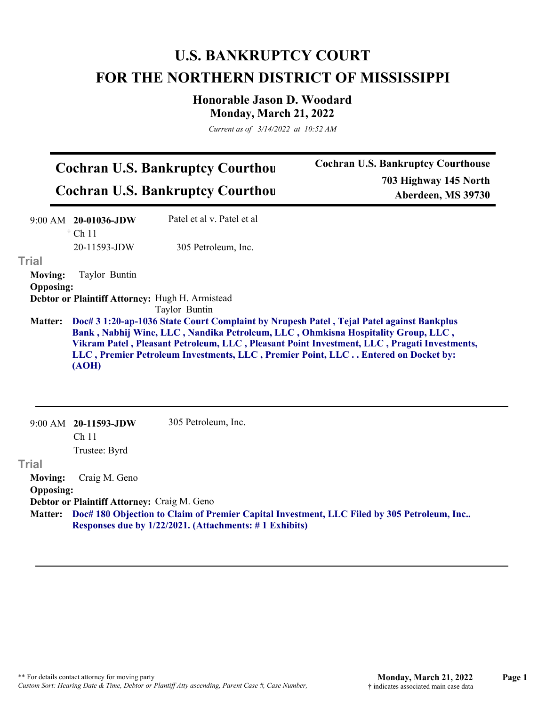## **U.S. BANKRUPTCY COURT FOR THE NORTHERN DISTRICT OF MISSISSIPPI**

**Honorable Jason D. Woodard Monday, March 21, 2022**

*Current as of 3/14/2022 at 10:52 AM*

| <b>Cochran U.S. Bankruptcy Courthou</b> | <b>Cochran U.S. Bankruptcy Courthouse</b> |
|-----------------------------------------|-------------------------------------------|
|                                         | 703 Highway 145 North                     |
| <b>Cochran U.S. Bankruptcy Courthou</b> | Aberdeen, MS 39730                        |

|                  | 9:00 AM 20-01036-JDW                        | Patel et al v. Patel et al                                                                                                                                                                                                                                                                                                                                       |
|------------------|---------------------------------------------|------------------------------------------------------------------------------------------------------------------------------------------------------------------------------------------------------------------------------------------------------------------------------------------------------------------------------------------------------------------|
|                  | $\dagger$ Ch 11                             |                                                                                                                                                                                                                                                                                                                                                                  |
|                  | 20-11593-JDW                                | 305 Petroleum, Inc.                                                                                                                                                                                                                                                                                                                                              |
| <b>Trial</b>     |                                             |                                                                                                                                                                                                                                                                                                                                                                  |
| <b>Moving:</b>   | Taylor Buntin                               |                                                                                                                                                                                                                                                                                                                                                                  |
| <b>Opposing:</b> |                                             |                                                                                                                                                                                                                                                                                                                                                                  |
|                  |                                             | Debtor or Plaintiff Attorney: Hugh H. Armistead<br>Taylor Buntin                                                                                                                                                                                                                                                                                                 |
| <b>Matter:</b>   | (AOH)                                       | Doc# 3 1:20-ap-1036 State Court Complaint by Nrupesh Patel, Tejal Patel against Bankplus<br>Bank, Nabhij Wine, LLC, Nandika Petroleum, LLC, Ohmkisna Hospitality Group, LLC,<br>Vikram Patel, Pleasant Petroleum, LLC, Pleasant Point Investment, LLC, Pragati Investments,<br>LLC, Premier Petroleum Investments, LLC, Premier Point, LLC Entered on Docket by: |
|                  | 9:00 AM 20-11593-JDW<br>Ch <sub>11</sub>    | 305 Petroleum, Inc.                                                                                                                                                                                                                                                                                                                                              |
|                  | Trustee: Byrd                               |                                                                                                                                                                                                                                                                                                                                                                  |
| <b>Trial</b>     |                                             |                                                                                                                                                                                                                                                                                                                                                                  |
| <b>Moving:</b>   | Craig M. Geno                               |                                                                                                                                                                                                                                                                                                                                                                  |
| <b>Opposing:</b> |                                             |                                                                                                                                                                                                                                                                                                                                                                  |
|                  | Debtor or Plaintiff Attorney: Craig M. Geno |                                                                                                                                                                                                                                                                                                                                                                  |
| <b>Matter:</b>   |                                             | Doc# 180 Objection to Claim of Premier Capital Investment, LLC Filed by 305 Petroleum, Inc<br>Responses due by 1/22/2021. (Attachments: #1 Exhibits)                                                                                                                                                                                                             |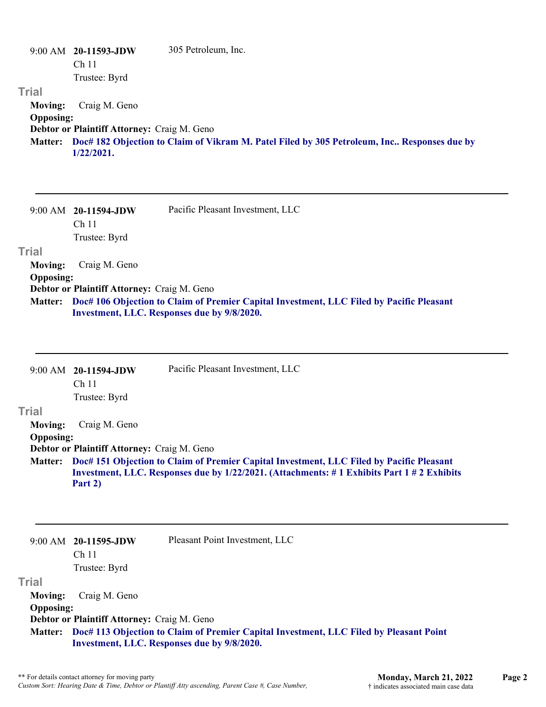|                  | 9:00 AM 20-11593-JDW                        | 305 Petroleum, Inc.                                                                         |
|------------------|---------------------------------------------|---------------------------------------------------------------------------------------------|
|                  | Ch <sub>11</sub>                            |                                                                                             |
|                  | Trustee: Byrd                               |                                                                                             |
| Trial            |                                             |                                                                                             |
| <b>Moving:</b>   | Craig M. Geno                               |                                                                                             |
| <b>Opposing:</b> |                                             |                                                                                             |
|                  | Debtor or Plaintiff Attorney: Craig M. Geno |                                                                                             |
| <b>Matter:</b>   | $1/22/2021$ .                               | Doc# 182 Objection to Claim of Vikram M. Patel Filed by 305 Petroleum, Inc Responses due by |

|                  | $9:00$ AM $20-11594$ -JDW                                                                        | Pacific Pleasant Investment, LLC            |
|------------------|--------------------------------------------------------------------------------------------------|---------------------------------------------|
|                  | Ch 11                                                                                            |                                             |
|                  | Trustee: Byrd                                                                                    |                                             |
| Trial            |                                                                                                  |                                             |
| <b>Moving:</b>   | Craig M. Geno                                                                                    |                                             |
| <b>Opposing:</b> |                                                                                                  |                                             |
|                  | Debtor or Plaintiff Attorney: Craig M. Geno                                                      |                                             |
|                  | Matter: Doc# 106 Objection to Claim of Premier Capital Investment, LLC Filed by Pacific Pleasant |                                             |
|                  |                                                                                                  | Investment, LLC. Responses due by 9/8/2020. |

|                  | $9:00$ AM $20-11594$ -JDW<br>Ch <sub>11</sub> | Pacific Pleasant Investment, LLC                                                          |
|------------------|-----------------------------------------------|-------------------------------------------------------------------------------------------|
|                  |                                               |                                                                                           |
|                  | Trustee: Byrd                                 |                                                                                           |
| Trial            |                                               |                                                                                           |
| Moving:          | Craig M. Geno                                 |                                                                                           |
| <b>Opposing:</b> |                                               |                                                                                           |
|                  | Debtor or Plaintiff Attorney: Craig M. Geno   |                                                                                           |
| <b>Matter:</b>   |                                               | Doc# 151 Objection to Claim of Premier Capital Investment, LLC Filed by Pacific Pleasant  |
|                  |                                               | Investment, LLC. Responses due by 1/22/2021. (Attachments: #1 Exhibits Part 1 #2 Exhibits |
|                  | Part 2)                                       |                                                                                           |

|                  | $9:00$ AM $20-11595$ -JDW                   | Pleasant Point Investment, LLC                                                                                                                |
|------------------|---------------------------------------------|-----------------------------------------------------------------------------------------------------------------------------------------------|
|                  | Ch <sub>11</sub>                            |                                                                                                                                               |
|                  | Trustee: Byrd                               |                                                                                                                                               |
| Trial            |                                             |                                                                                                                                               |
| <b>Moving:</b>   | Craig M. Geno                               |                                                                                                                                               |
| <b>Opposing:</b> |                                             |                                                                                                                                               |
|                  | Debtor or Plaintiff Attorney: Craig M. Geno |                                                                                                                                               |
|                  |                                             | Matter: Doc# 113 Objection to Claim of Premier Capital Investment, LLC Filed by Pleasant Point<br>Investment, LLC. Responses due by 9/8/2020. |